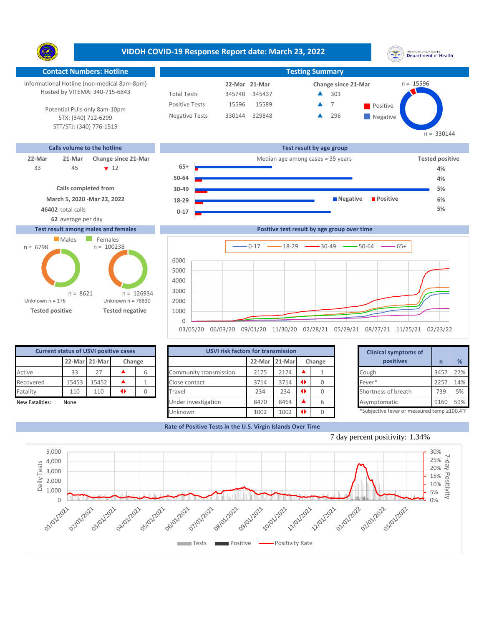**VIDOH COVID-19 Response Report date: March 23, 2022** UNITED STATES VIRGIN SLANDS<br>Department of Health Y. **Contact Numbers: Hotline Testing Summary** Informational Hotline (non-medical 8am-8pm) n = 15596 **21-Mar 22-Mar Change since 21-Mar** Hosted by VITEMA: 340-715-6843 Total Tests 345740 345437 303 ▲ Positive Tests 15596 15589 **A** 7 **Positive**  $\blacktriangle$ 7 Potential PUIs only 8am-10pm Negative Tests 330144 329848 296 Â **Negative** STX: (340) 712-6299 STT/STJ: (340) 776-1519  $n = 330144$ **Calls volume to the hotline Test result by age group 22-Mar 21-Mar Change since 21-Mar** Median age among cases = 35 years **Tested positive 65+** 45 7 12 33 **4% 50-64 4% Calls completed from 5% 30-49**

> **0-17 18-29**



**62** average per day

**46402** total calls **5%**

## **Test result among males and females**



|          | $-$ 0-17 $-$ 18-29 $-$ 30-49 $-$ 50-64 $-$ 65+                                   |
|----------|----------------------------------------------------------------------------------|
| 6000     |                                                                                  |
| 5000     |                                                                                  |
| 4000     |                                                                                  |
| 3000     |                                                                                  |
| 2000     |                                                                                  |
| 1000     |                                                                                  |
| $\Omega$ |                                                                                  |
|          | 03/05/20 06/03/20 09/01/20 11/30/20 02/28/21 05/29/21 08/27/21 11/25/21 02/23/22 |

**Positive test result by age group over time**

**Negative Positive** 

| <b>Current status of USVI positive cases</b> |             |               |        |  |  |  |  |  |
|----------------------------------------------|-------------|---------------|--------|--|--|--|--|--|
|                                              |             | 22-Mar 21-Mar | Change |  |  |  |  |  |
| Active                                       | 33          | 27            |        |  |  |  |  |  |
| Recovered                                    | 15453       | 15452         |        |  |  |  |  |  |
| Fatality                                     | 110         | 110           | 1      |  |  |  |  |  |
| Now Estalities                               | <b>None</b> |               |        |  |  |  |  |  |

| <b>Current status of USVI positive cases</b> |       |               |                 |        |                        | <b>USVI risk factors for transmission</b> |        |  |        |  |                                            |      |               |
|----------------------------------------------|-------|---------------|-----------------|--------|------------------------|-------------------------------------------|--------|--|--------|--|--------------------------------------------|------|---------------|
|                                              |       | 22-Mar 21-Mar |                 | Change |                        | 22-Mar                                    | 21-Mar |  | Change |  | positives                                  |      | $\frac{9}{6}$ |
| Active                                       | 33    |               |                 | h      | Community transmission | 2175                                      | 2174   |  |        |  | Cough                                      | 345  | 22%           |
| Recovered                                    | 15453 | 15452         |                 |        | Close contact          | 3714                                      | 3714   |  |        |  | Fever*                                     | 225  | 14%           |
| Fatality                                     | 110   | 110           | $\blacklozenge$ |        | Travel                 | 234                                       | 234    |  |        |  | Shortness of breath                        | 739  | 5%            |
| New Fatalities:                              | None  |               |                 |        | Under investigation    | 8470                                      | 8464   |  |        |  | Asymptomatic                               | 9160 | 59%           |
|                                              |       |               |                 |        | Unknown                | 1002                                      | 1002   |  |        |  | *Subjective fever or measured temp ≥100.4° |      |               |

|        | for transmission |        |   | <b>Clinical symptoms of</b>                 |      |     |
|--------|------------------|--------|---|---------------------------------------------|------|-----|
| 22-Mar | 21-Mar           | Change |   | positives                                   | n    | %   |
| 2175   | 2174             |        |   | Cough                                       | 3457 | 22% |
| 3714   | 3714             | O      |   | Fever*                                      | 2257 | 14% |
| 234    | 234              | O      |   | Shortness of breath                         | 739  | 5%  |
| 8470   | 8464             |        | 6 | Asymptomatic                                | 9160 | 59% |
| 1002   | 1002             |        |   | *Subjective fever or measured temp >100.4°F |      |     |

**6%**

**Rate of Positive Tests in the U.S. Virgin Islands Over Time**